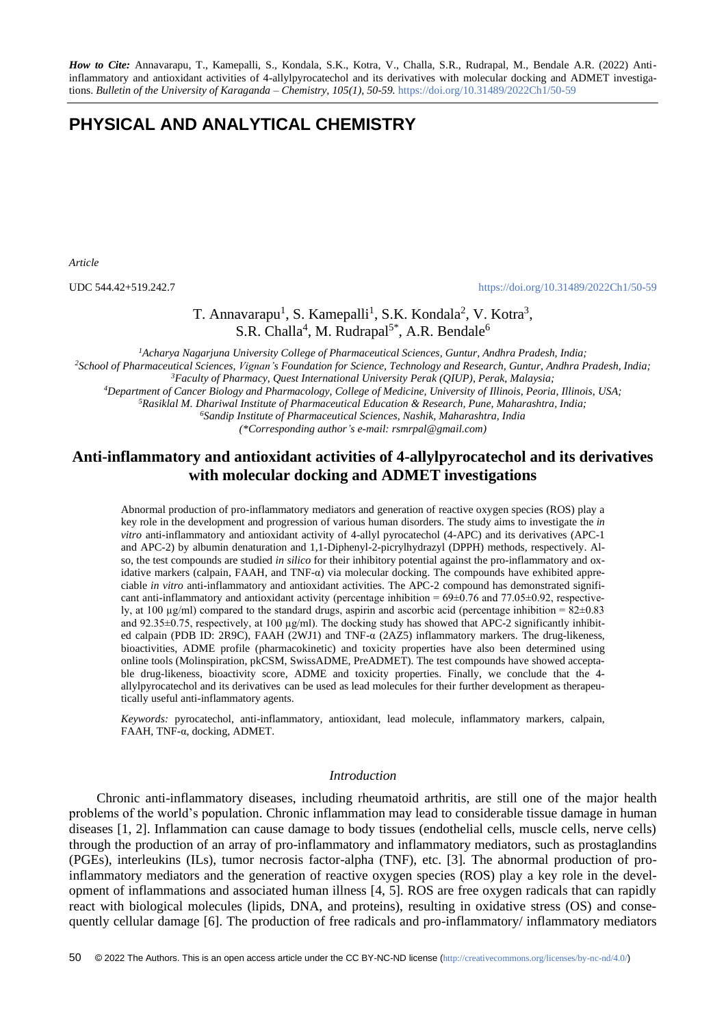*How to Cite:* Annavarapu, T., Kamepalli, S., Kondala, S.K., Kotra, V., Challa, S.R., Rudrapal, M., Bendale A.R. (2022) Antiinflammatory and antioxidant activities of 4-allylpyrocatechol and its derivatives with molecular docking and ADMET investigations. *Bulletin of the University of Karaganda – Chemistry, 105(1), 50-59.* <https://doi.org/10.31489/2022Ch1/50-59>

# **PHYSICAL AND ANALYTICAL CHEMISTRY**

*Article*

UDC 544.42+519.242.7 <https://doi.org/10.31489/2022Ch1/50-59>

## T. Annavarapu<sup>1</sup>, S. Kamepalli<sup>1</sup>, S.K. Kondala<sup>2</sup>, V. Kotra<sup>3</sup>, S.R. Challa<sup>4</sup>, M. Rudrapal<sup>5\*</sup>, A.R. Bendale<sup>6</sup>

*Acharya Nagarjuna University College of Pharmaceutical Sciences, Guntur, Andhra Pradesh, India; School of Pharmaceutical Sciences, Vignan's Foundation for Science, Technology and Research, Guntur, Andhra Pradesh, India; Faculty of Pharmacy, Quest International University Perak (QIUP), Perak, Malaysia; Department of Cancer Biology and Pharmacology, College of Medicine, University of Illinois, Peoria, Illinois, USA; Rasiklal M. Dhariwal Institute of Pharmaceutical Education & Research, Pune, Maharashtra, India;*

*<sup>6</sup>Sandip Institute of Pharmaceutical Sciences, Nashik, Maharashtra, India*

*(\*Corresponding author's e-mail: rsmrpal@gmail.com)*

## **Anti-inflammatory and antioxidant activities of 4-allylpyrocatechol and its derivatives with molecular docking and ADMET investigations**

Abnormal production of pro-inflammatory mediators and generation of reactive oxygen species (ROS) play a key role in the development and progression of various human disorders. The study aims to investigate the *in vitro* anti-inflammatory and antioxidant activity of 4-allyl pyrocatechol (4-APC) and its derivatives (APC-1 and APC-2) by albumin denaturation and 1,1-Diphenyl-2-picrylhydrazyl (DPPH) methods, respectively. Also, the test compounds are studied *in silico* for their inhibitory potential against the pro-inflammatory and oxidative markers (calpain, FAAH, and TNF- $\alpha$ ) via molecular docking. The compounds have exhibited appreciable *in vitro* anti-inflammatory and antioxidant activities. The APC-2 compound has demonstrated significant anti-inflammatory and antioxidant activity (percentage inhibition  $= 69 \pm 0.76$  and 77.05 $\pm 0.92$ , respectively, at 100  $\mu$ g/ml) compared to the standard drugs, aspirin and ascorbic acid (percentage inhibition =  $82\pm0.83$ and 92.35 $\pm$ 0.75, respectively, at 100  $\mu$ g/ml). The docking study has showed that APC-2 significantly inhibited calpain (PDB ID: 2R9C), FAAH (2WJ1) and TNF-α (2AZ5) inflammatory markers. The drug-likeness, bioactivities, ADME profile (pharmacokinetic) and toxicity properties have also been determined using online tools (Molinspiration, pkCSM, SwissADME, PreADMET). The test compounds have showed acceptable drug-likeness, bioactivity score, ADME and toxicity properties. Finally, we conclude that the 4 allylpyrocatechol and its derivatives can be used as lead molecules for their further development as therapeutically useful anti-inflammatory agents.

*Keywords:* pyrocatechol, anti-inflammatory, antioxidant, lead molecule, inflammatory markers, calpain, FAAH, TNF-α, docking, ADMET.

#### *Introduction*

Chronic anti-inflammatory diseases, including rheumatoid arthritis, are still one of the major health problems of the world's population. Chronic inflammation may lead to considerable tissue damage in human diseases [1, 2]. Inflammation can cause damage to body tissues (endothelial cells, muscle cells, nerve cells) through the production of an array of pro-inflammatory and inflammatory mediators, such as prostaglandins (PGEs), interleukins (ILs), tumor necrosis factor-alpha (TNF), etc. [3]. The abnormal production of proinflammatory mediators and the generation of reactive oxygen species (ROS) play a key role in the development of inflammations and associated human illness [4, 5]. ROS are free oxygen radicals that can rapidly react with biological molecules (lipids, DNA, and proteins), resulting in oxidative stress (OS) and consequently cellular damage [6]. The production of free radicals and pro-inflammatory/ inflammatory mediators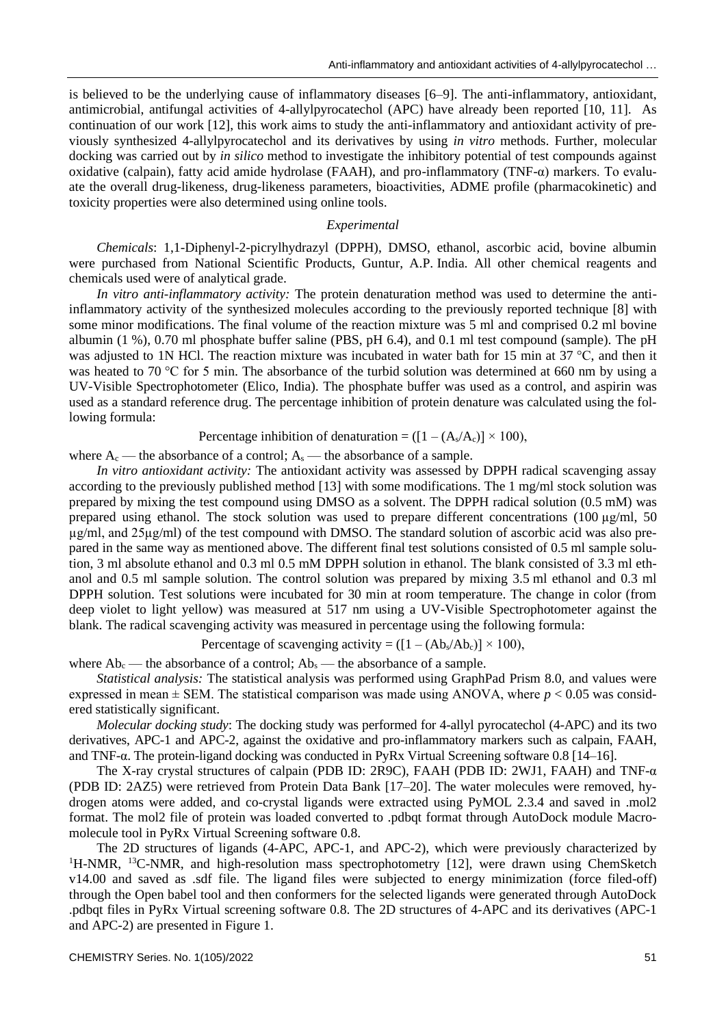is believed to be the underlying cause of inflammatory diseases [6–9]. The anti-inflammatory, antioxidant, antimicrobial, antifungal activities of 4-allylpyrocatechol (APC) have already been reported [10, 11]. As continuation of our work [12], this work aims to study the anti-inflammatory and antioxidant activity of previously synthesized 4-allylpyrocatechol and its derivatives by using *in vitro* methods. Further, molecular docking was carried out by *in silico* method to investigate the inhibitory potential of test compounds against oxidative (calpain), fatty acid amide hydrolase (FAAH), and pro-inflammatory (TNF-α) markers. To evaluate the overall drug-likeness, drug-likeness parameters, bioactivities, ADME profile (pharmacokinetic) and toxicity properties were also determined using online tools.

#### *Experimental*

*Chemicals*: 1,1-Diphenyl-2-picrylhydrazyl (DPPH), DMSO, ethanol, ascorbic acid, bovine albumin were purchased from National Scientific Products, Guntur, A.P. India. All other chemical reagents and chemicals used were of analytical grade.

*In vitro anti-inflammatory activity:* The protein denaturation method was used to determine the antiinflammatory activity of the synthesized molecules according to the previously reported technique [8] with some minor modifications. The final volume of the reaction mixture was 5 ml and comprised 0.2 ml bovine albumin (1 %), 0.70 ml phosphate buffer saline (PBS, pH 6.4), and 0.1 ml test compound (sample). The pH was adjusted to 1N HCl. The reaction mixture was incubated in water bath for 15 min at 37 °C, and then it was heated to 70 °C for 5 min. The absorbance of the turbid solution was determined at 660 nm by using a UV-Visible Spectrophotometer (Elico, India). The phosphate buffer was used as a control, and aspirin was used as a standard reference drug. The percentage inhibition of protein denature was calculated using the following formula:

Percentage inhibition of denaturation =  $([1 - (A_s/A_c)] \times 100)$ ,

where  $A_c$  — the absorbance of a control;  $A_s$  — the absorbance of a sample.

*In vitro antioxidant activity:* The antioxidant activity was assessed by DPPH radical scavenging assay according to the previously published method [13] with some modifications. The 1 mg/ml stock solution was prepared by mixing the test compound using DMSO as a solvent. The DPPH radical solution (0.5 mM) was prepared using ethanol. The stock solution was used to prepare different concentrations (100 µg/ml, 50) µg/ml, and 25µg/ml) of the test compound with DMSO. The standard solution of ascorbic acid was also prepared in the same way as mentioned above. The different final test solutions consisted of 0.5 ml sample solution, 3 ml absolute ethanol and 0.3 ml 0.5 mM DPPH solution in ethanol. The blank consisted of 3.3 ml ethanol and 0.5 ml sample solution. The control solution was prepared by mixing 3.5 ml ethanol and 0.3 ml DPPH solution. Test solutions were incubated for 30 min at room temperature. The change in color (from deep violet to light yellow) was measured at 517 nm using a UV-Visible Spectrophotometer against the blank. The radical scavenging activity was measured in percentage using the following formula:

Percentage of scavenging activity =  $([1 - (Ab_s/Ab_c)] \times 100)$ ,

where  $Ab_c$  — the absorbance of a control;  $Ab_s$  — the absorbance of a sample.

*Statistical analysis:* The statistical analysis was performed using GraphPad Prism 8.0, and values were expressed in mean  $\pm$  SEM. The statistical comparison was made using ANOVA, where  $p < 0.05$  was considered statistically significant.

*Molecular docking study*: The docking study was performed for 4-allyl pyrocatechol (4-APC) and its two derivatives, APC-1 and APC-2, against the oxidative and pro-inflammatory markers such as calpain, FAAH, and TNF-α. The protein-ligand docking was conducted in PyRx Virtual Screening software 0.8 [14–16].

The X-ray crystal structures of calpain (PDB ID: 2R9C), FAAH (PDB ID: 2WJ1, FAAH) and TNF-α (PDB ID: 2AZ5) were retrieved from Protein Data Bank [17–20]. The water molecules were removed, hydrogen atoms were added, and co-crystal ligands were extracted using PyMOL 2.3.4 and saved in .mol2 format. The mol2 file of protein was loaded converted to .pdbqt format through AutoDock module Macromolecule tool in PyRx Virtual Screening software 0.8.

The 2D structures of ligands (4-APC, APC-1, and APC-2), which were previously characterized by <sup>1</sup>H-NMR, <sup>13</sup>C-NMR, and high-resolution mass spectrophotometry [12], were drawn using ChemSketch v14.00 and saved as .sdf file. The ligand files were subjected to energy minimization (force filed-off) through the Open babel tool and then conformers for the selected ligands were generated through AutoDock .pdbqt files in PyRx Virtual screening software 0.8. The 2D structures of 4-APC and its derivatives (APC-1 and APC-2) are presented in Figure 1.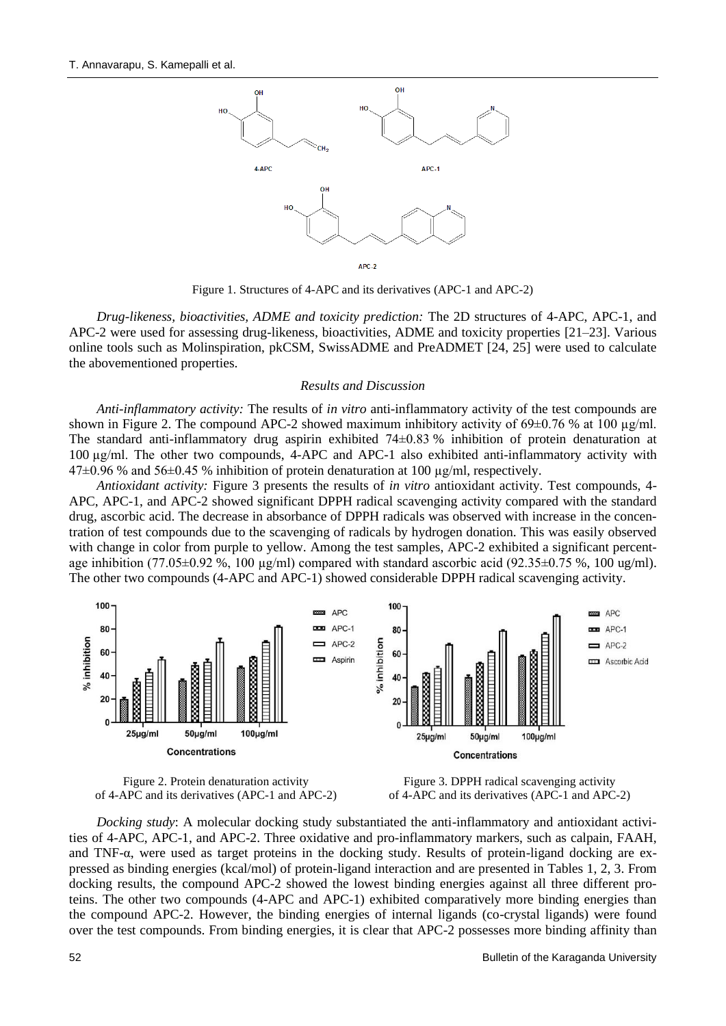

APC-2

Figure 1. Structures of 4-APC and its derivatives (APC-1 and APC-2)

*Drug-likeness, bioactivities, ADME and toxicity prediction:* The 2D structures of 4-APC, APC-1, and APC-2 were used for assessing drug-likeness, bioactivities, ADME and toxicity properties [21–23]. Various online tools such as Molinspiration, pkCSM, SwissADME and PreADMET [24, 25] were used to calculate the abovementioned properties.

#### *Results and Discussion*

*Anti-inflammatory activity:* The results of *in vitro* anti-inflammatory activity of the test compounds are shown in Figure 2. The compound APC-2 showed maximum inhibitory activity of  $69\pm0.76$  % at 100  $\mu$ g/ml. The standard anti-inflammatory drug aspirin exhibited 74±0.83 % inhibition of protein denaturation at 100 µg/ml. The other two compounds, 4-APC and APC-1 also exhibited anti-inflammatory activity with 47±0.96 % and 56±0.45 % inhibition of protein denaturation at 100 µg/ml, respectively.

*Antioxidant activity:* Figure 3 presents the results of *in vitro* antioxidant activity. Test compounds, 4- APC, APC-1, and APC-2 showed significant DPPH radical scavenging activity compared with the standard drug, ascorbic acid. The decrease in absorbance of DPPH radicals was observed with increase in the concentration of test compounds due to the scavenging of radicals by hydrogen donation. This was easily observed with change in color from purple to yellow. Among the test samples, APC-2 exhibited a significant percentage inhibition (77.05 $\pm$ 0.92 %, 100 µg/ml) compared with standard ascorbic acid (92.35 $\pm$ 0.75 %, 100 ug/ml). The other two compounds (4-APC and APC-1) showed considerable DPPH radical scavenging activity.







*Docking study*: A molecular docking study substantiated the anti-inflammatory and antioxidant activities of 4-APC, APC-1, and APC-2. Three oxidative and pro-inflammatory markers, such as calpain, FAAH, and TNF-α, were used as target proteins in the docking study. Results of protein-ligand docking are expressed as binding energies (kcal/mol) of protein-ligand interaction and are presented in Tables 1, 2, 3. From docking results, the compound APC-2 showed the lowest binding energies against all three different proteins. The other two compounds (4-APC and APC-1) exhibited comparatively more binding energies than the compound APC-2. However, the binding energies of internal ligands (co-crystal ligands) were found over the test compounds. From binding energies, it is clear that APC-2 possesses more binding affinity than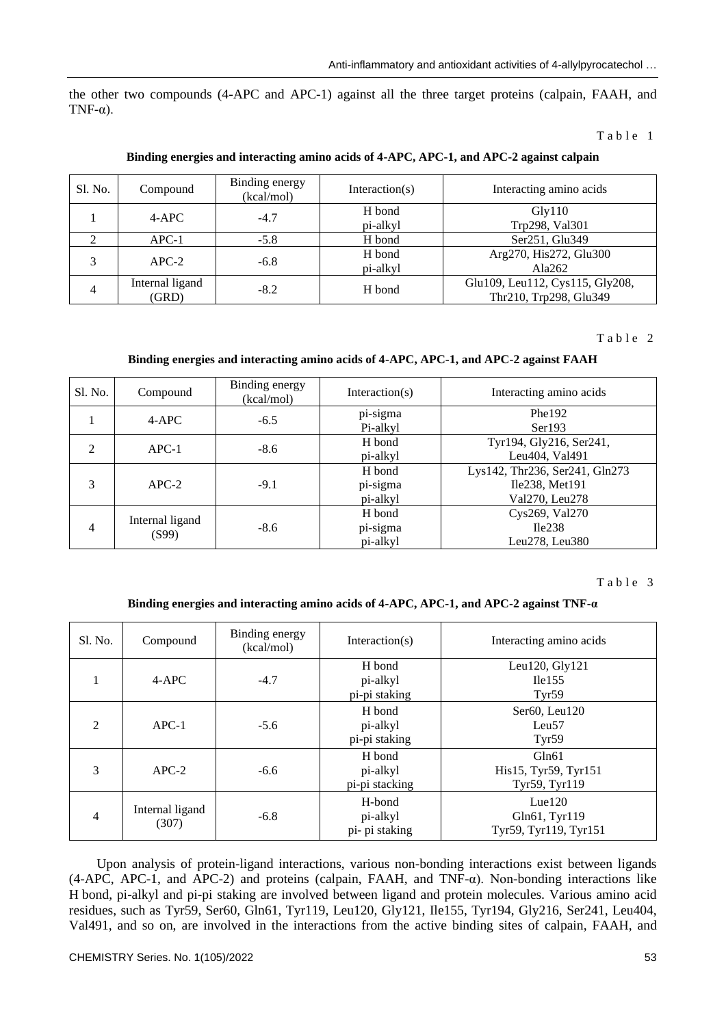the other two compounds (4-APC and APC-1) against all the three target proteins (calpain, FAAH, and TNF-α).

Table 1

#### **Binding energies and interacting amino acids of 4-APC, APC-1, and APC-2 against calpain**

| Sl. No.                 | Compound                 | Binding energy<br>(kcal/mol) | Interaction( $s$ ) | Interacting amino acids                                   |
|-------------------------|--------------------------|------------------------------|--------------------|-----------------------------------------------------------|
|                         | $4-APC$                  | $-4.7$                       | H bond<br>pi-alkyl | Gly110<br>Trp298, Val301                                  |
|                         | $APC-1$                  | $-5.8$                       | H bond             | Ser251, Glu349                                            |
| $\mathbf{\overline{3}}$ | $APC-2$                  | $-6.8$                       | H bond<br>pi-alkyl | Arg270, His272, Glu300<br>Ala262                          |
| 4                       | Internal ligand<br>(GRD) | $-8.2$                       | H bond             | Glu109, Leu112, Cys115, Gly208,<br>Thr210, Trp298, Glu349 |

#### Table 2

#### **Binding energies and interacting amino acids of 4-APC, APC-1, and APC-2 against FAAH**

| Sl. No.        | Compound                 | Binding energy<br>(kcal/mol) | Interaction( $s$ )             | Interacting amino acids                                            |  |
|----------------|--------------------------|------------------------------|--------------------------------|--------------------------------------------------------------------|--|
|                | $4-APC$                  | $-6.5$                       | pi-sigma<br>Pi-alkyl           | Phe192<br>Ser193                                                   |  |
| $\mathfrak{D}$ | $APC-1$                  | $-8.6$                       | H bond<br>pi-alkyl             | Tyr194, Gly216, Ser241,<br>Leu404, Val491                          |  |
| 3              | $APC-2$                  | $-9.1$                       | H bond<br>pi-sigma<br>pi-alkyl | Lys142, Thr236, Ser241, Gln273<br>Ile238, Met191<br>Val270, Leu278 |  |
| 4              | Internal ligand<br>(S99) | $-8.6$                       | H bond<br>pi-sigma<br>pi-alkyl | Cys269, Val270<br>Ile238<br>Leu $278$ , Leu $380$                  |  |

#### Table 3

#### **Binding energies and interacting amino acids of 4-APC, APC-1, and APC-2 against TNF-α**

| Sl. No.        | Compound                 | Binding energy<br>(kcal/mol) | Interaction( $s$ )                   | Interacting amino acids                                |
|----------------|--------------------------|------------------------------|--------------------------------------|--------------------------------------------------------|
|                | $4-APC$                  | $-4.7$                       | H bond<br>pi-alkyl<br>pi-pi staking  | Leu120, Gly121<br>Ile155<br>Tyr59                      |
| $\mathfrak{D}$ | $APC-1$                  | $-5.6$                       | H bond<br>pi-alkyl<br>pi-pi staking  | Ser60, Leu120<br>Leu <sub>57</sub><br>Tyr59            |
| 3              | $APC-2$                  | $-6.6$                       | H bond<br>pi-alkyl<br>pi-pi stacking | Gln61<br>His15, Tyr59, Tyr151<br>Tyr59, Tyr119         |
| $\overline{4}$ | Internal ligand<br>(307) | $-6.8$                       | H-bond<br>pi-alkyl<br>pi- pi staking | Lue120<br>$Gln61$ , Tyr $119$<br>Tyr59, Tyr119, Tyr151 |

Upon analysis of protein-ligand interactions, various non-bonding interactions exist between ligands (4-APC, APC-1, and APC-2) and proteins (calpain, FAAH, and TNF-α). Non-bonding interactions like H bond, pi-alkyl and pi-pi staking are involved between ligand and protein molecules. Various amino acid residues, such as Tyr59, Ser60, Gln61, Tyr119, Leu120, Gly121, Ile155, Tyr194, Gly216, Ser241, Leu404, Val491, and so on, are involved in the interactions from the active binding sites of calpain, FAAH, and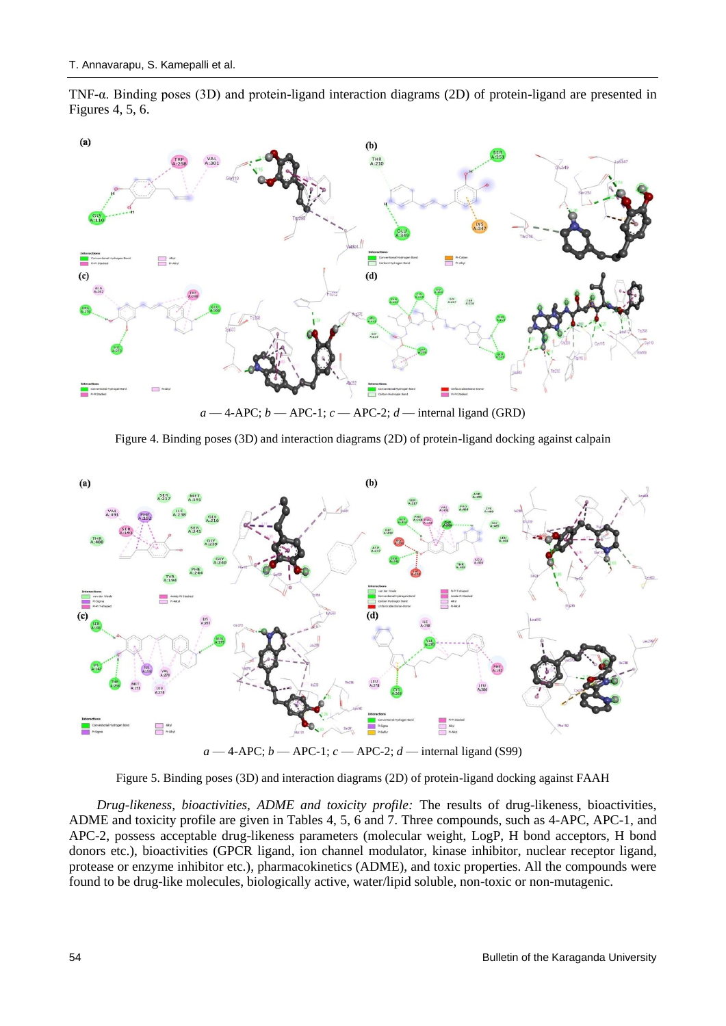TNF-α. Binding poses (3D) and protein-ligand interaction diagrams (2D) of protein-ligand are presented in Figures 4, 5, 6.



 $a - 4$ -APC;  $b - APC$ -1;  $c - APC$ -2;  $d$  — internal ligand (GRD)

Figure 4. Binding poses (3D) and interaction diagrams (2D) of protein-ligand docking against calpain



 $a - 4$ -APC;  $b -$ APC-1;  $c -$ APC-2;  $d$  — internal ligand (S99)

Figure 5. Binding poses (3D) and interaction diagrams (2D) of protein-ligand docking against FAAH

*Drug-likeness, bioactivities, ADME and toxicity profile:* The results of drug-likeness, bioactivities, ADME and toxicity profile are given in Tables 4, 5, 6 and 7. Three compounds, such as 4-APC, APC-1, and APC-2, possess acceptable drug-likeness parameters (molecular weight, LogP, H bond acceptors, H bond donors etc.), bioactivities (GPCR ligand, ion channel modulator, kinase inhibitor, nuclear receptor ligand, protease or enzyme inhibitor etc.), pharmacokinetics (ADME), and toxic properties. All the compounds were found to be drug-like molecules, biologically active, water/lipid soluble, non-toxic or non-mutagenic.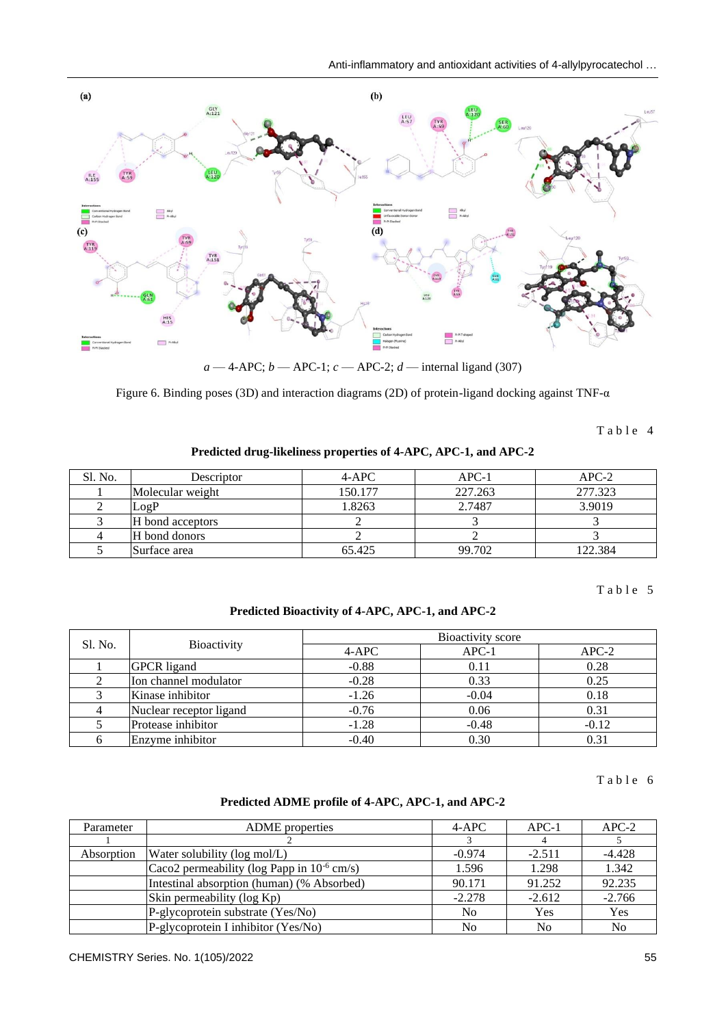

 $a - 4$ -APC;  $b - APC-1$ ;  $c - APC-2$ ;  $d$  — internal ligand (307)

Figure 6. Binding poses (3D) and interaction diagrams (2D) of protein-ligand docking against TNF-α

Table 4

#### **Predicted drug-likeliness properties of 4-APC, APC-1, and APC-2**

| Sl. No. | Descriptor       | $4-APC$ | $APC-1$ | $APC-2$ |
|---------|------------------|---------|---------|---------|
|         | Molecular weight | 150.177 | 227.263 | 277.323 |
|         | LogP             | 1.8263  | 2.7487  | 3.9019  |
|         | H bond acceptors |         |         |         |
|         | H bond donors    |         |         |         |
|         | Surface area     | 65.425  | 99.702  | 122.384 |

Table 5

**Predicted Bioactivity of 4-APC, APC-1, and APC-2**

| Sl. No. |                         | Bioactivity score |         |         |  |  |
|---------|-------------------------|-------------------|---------|---------|--|--|
|         | <b>Bioactivity</b>      | $4-APC$           | $APC-1$ | $APC-2$ |  |  |
|         | <b>GPCR</b> ligand      | $-0.88$           | 0.11    | 0.28    |  |  |
|         | Ion channel modulator   | $-0.28$           | 0.33    | 0.25    |  |  |
|         | Kinase inhibitor        | $-1.26$           | $-0.04$ | 0.18    |  |  |
|         | Nuclear receptor ligand | $-0.76$           | 0.06    | 0.31    |  |  |
|         | Protease inhibitor      | $-1.28$           | $-0.48$ | $-0.12$ |  |  |
|         | Enzyme inhibitor        | $-0.40$           | 0.30    |         |  |  |

Table 6

#### **Predicted ADME profile of 4-APC, APC-1, and APC-2**

| Parameter  | <b>ADME</b> properties                          | $4-APC$        | $APC-1$        | $APC-2$        |
|------------|-------------------------------------------------|----------------|----------------|----------------|
|            |                                                 |                |                |                |
| Absorption | Water solubility (log mol/L)                    | $-0.974$       | $-2.511$       | $-4.428$       |
|            | Caco2 permeability (log Papp in $10^{-6}$ cm/s) | 1.596          | 1.298          | 1.342          |
|            | Intestinal absorption (human) (% Absorbed)      | 90.171         | 91.252         | 92.235         |
|            | Skin permeability (log Kp)                      | $-2.278$       | $-2.612$       | $-2.766$       |
|            | P-glycoprotein substrate (Yes/No)               | N <sub>0</sub> | Yes            | Yes            |
|            | P-glycoprotein I inhibitor (Yes/No)             | N <sub>0</sub> | N <sub>0</sub> | N <sub>0</sub> |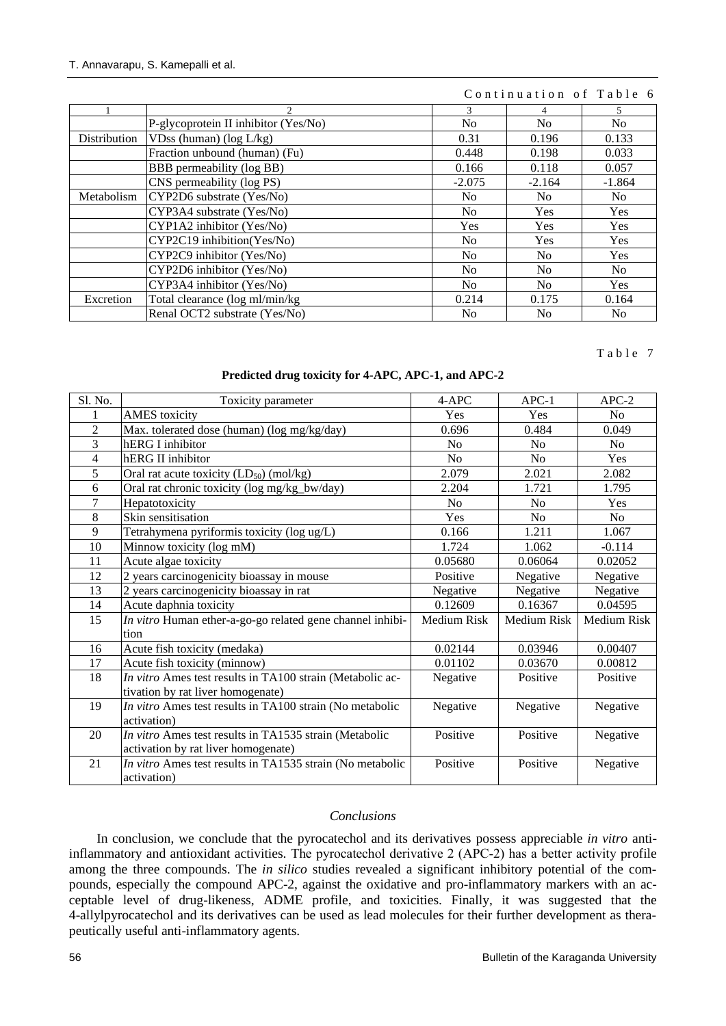### Continuation of Table 6

|              | 2.                                   | 3              | 4              | 5.             |
|--------------|--------------------------------------|----------------|----------------|----------------|
|              | P-glycoprotein II inhibitor (Yes/No) | N <sub>0</sub> | N <sub>0</sub> | N <sub>0</sub> |
| Distribution | VDss (human) ( $log L/kg$ )          | 0.31           | 0.196          | 0.133          |
|              | Fraction unbound (human) (Fu)        | 0.448          | 0.198          | 0.033          |
|              | BBB permeability (log BB)            | 0.166          | 0.118          | 0.057          |
|              | CNS permeability (log PS)            | $-2.075$       | $-2.164$       | $-1.864$       |
| Metabolism   | CYP2D6 substrate (Yes/No)            | N <sub>0</sub> | No.            | N <sub>0</sub> |
|              | CYP3A4 substrate (Yes/No)            | N <sub>0</sub> | <b>Yes</b>     | <b>Yes</b>     |
|              | CYP1A2 inhibitor (Yes/No)            | <b>Yes</b>     | <b>Yes</b>     | Yes            |
|              | CYP2C19 inhibition(Yes/No)           | No             | Yes            | Yes            |
|              | CYP2C9 inhibitor (Yes/No)            | N <sub>0</sub> | N <sub>0</sub> | Yes            |
|              | CYP2D6 inhibitor (Yes/No)            | N <sub>0</sub> | N <sub>0</sub> | N <sub>0</sub> |
|              | CYP3A4 inhibitor (Yes/No)            | N <sub>0</sub> | N <sub>0</sub> | Yes            |
| Excretion    | Total clearance (log ml/min/kg)      | 0.214          | 0.175          | 0.164          |
|              | Renal OCT2 substrate (Yes/No)        | N <sub>0</sub> | N <sub>0</sub> | N <sub>0</sub> |

#### Table 7

#### **Predicted drug toxicity for 4-APC, APC-1, and APC-2**

| Sl. No.        | Toxicity parameter                                        | 4-APC          | $APC-1$        | $APC-2$        |
|----------------|-----------------------------------------------------------|----------------|----------------|----------------|
|                | <b>AMES</b> toxicity                                      | Yes            | Yes            | N <sub>o</sub> |
| $\overline{2}$ | Max. tolerated dose (human) (log mg/kg/day)               | 0.696          | 0.484          | 0.049          |
| 3              | hERG I inhibitor                                          | No             | N <sub>o</sub> | N <sub>o</sub> |
| 4              | hERG II inhibitor                                         | N <sub>o</sub> | N <sub>o</sub> | Yes            |
| 5              | Oral rat acute toxicity $(LD_{50})$ (mol/kg)              | 2.079          | 2.021          | 2.082          |
| 6              | Oral rat chronic toxicity (log mg/kg_bw/day)              | 2.204          | 1.721          | 1.795          |
| $\overline{7}$ | Hepatotoxicity                                            | N <sub>0</sub> | N <sub>0</sub> | Yes            |
| 8              | Skin sensitisation                                        | Yes            | N <sub>o</sub> | N <sub>o</sub> |
| 9              | Tetrahymena pyriformis toxicity (log ug/L)                | 0.166          | 1.211          | 1.067          |
| 10             | Minnow toxicity (log mM)                                  | 1.724          | 1.062          | $-0.114$       |
| 11             | Acute algae toxicity                                      | 0.05680        | 0.06064        | 0.02052        |
| 12             | 2 years carcinogenicity bioassay in mouse                 | Positive       | Negative       | Negative       |
| 13             | 2 years carcinogenicity bioassay in rat                   | Negative       | Negative       | Negative       |
| 14             | Acute daphnia toxicity                                    | 0.12609        | 0.16367        | 0.04595        |
| 15             | In vitro Human ether-a-go-go related gene channel inhibi- | Medium Risk    | Medium Risk    | Medium Risk    |
|                | tion                                                      |                |                |                |
| 16             | Acute fish toxicity (medaka)                              | 0.02144        | 0.03946        | 0.00407        |
| 17             | Acute fish toxicity (minnow)                              | 0.01102        | 0.03670        | 0.00812        |
| 18             | In vitro Ames test results in TA100 strain (Metabolic ac- | Negative       | Positive       | Positive       |
|                | tivation by rat liver homogenate)                         |                |                |                |
| 19             | In vitro Ames test results in TA100 strain (No metabolic  | Negative       | Negative       | Negative       |
|                | activation)                                               |                |                |                |
| 20             | In vitro Ames test results in TA1535 strain (Metabolic    | Positive       | Positive       | Negative       |
|                | activation by rat liver homogenate)                       |                |                |                |
| 21             | In vitro Ames test results in TA1535 strain (No metabolic | Positive       | Positive       | Negative       |
|                | activation)                                               |                |                |                |

### *Conclusions*

In conclusion, we conclude that the pyrocatechol and its derivatives possess appreciable *in vitro* antiinflammatory and antioxidant activities. The pyrocatechol derivative 2 (APC‑2) has a better activity profile among the three compounds. The *in silico* studies revealed a significant inhibitory potential of the compounds, especially the compound APC-2, against the oxidative and pro-inflammatory markers with an acceptable level of drug-likeness, ADME profile, and toxicities. Finally, it was suggested that the 4-allylpyrocatechol and its derivatives can be used as lead molecules for their further development as therapeutically useful anti-inflammatory agents.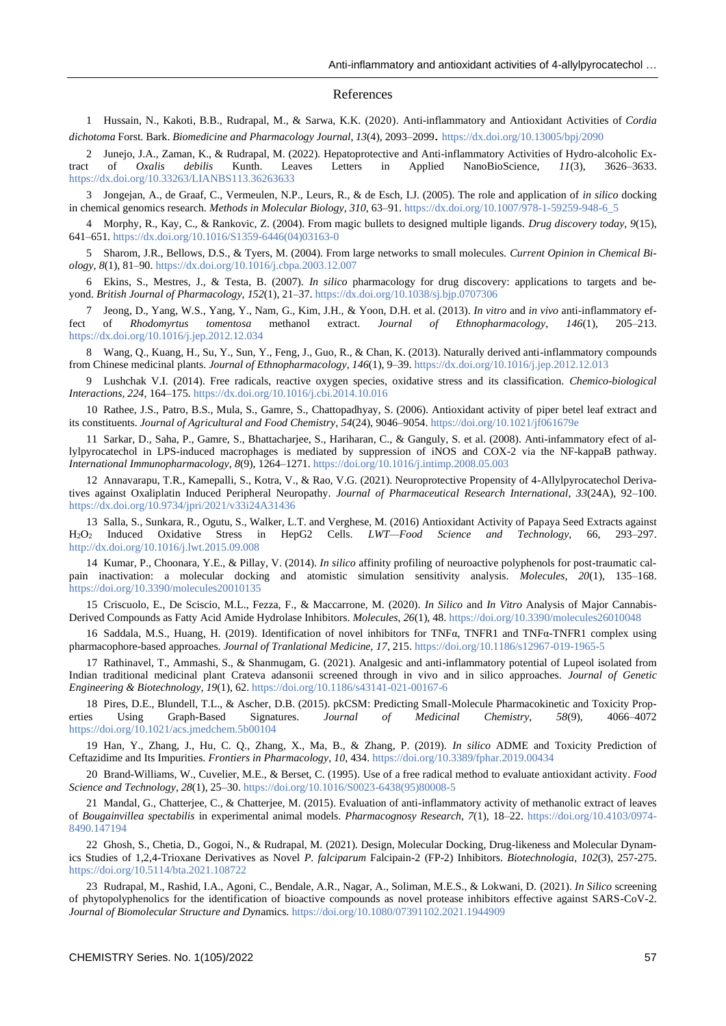#### References

1 Hussain, N., Kakoti, B.B., Rudrapal, M., & Sarwa, K.K. (2020). Anti-inflammatory and Antioxidant Activities of *Cordia dichotoma* Forst. Bark. *Biomedicine and Pharmacology Journal*, *13*(4), 2093–2099. <https://dx.doi.org/10.13005/bpj/2090>

2 Junejo, J.A., Zaman, K., & Rudrapal, M. (2022). Hepatoprotective and Anti-inflammatory Activities of Hydro-alcoholic Extract of *Oxalis debilis* Kunth. Leaves Letters in Applied NanoBioScience, *11*(3), 3626–3633. <https://dx.doi.org/10.33263/LIANBS113.36263633>

3 Jongejan, A., de Graaf, C., Vermeulen, N.P., Leurs, R., & de Esch, I.J. (2005). The role and application of *in silico* docking in chemical genomics research. *Methods in Molecular Biology, 310*, 63–91[. https://dx.doi.org/10.1007/978-1-59259-948-6\\_5](https://dx.doi.org/10.1007/978-1-59259-948-6_5)

4 Morphy, R., Kay, C., & Rankovic, Z. (2004). From magic bullets to designed multiple ligands. *Drug discovery today*, *9*(15), 641–651. [https://dx.doi.org/10.1016/S1359-6446\(04\)03163-0](https://dx.doi.org/10.1016/S1359-6446(04)03163-0)

5 Sharom, J.R., Bellows, D.S., & Tyers, M. (2004). From large networks to small molecules. *Current Opinion in Chemical Biology*, *8*(1), 81–90[. https://dx.doi.org/10.1016/j.cbpa.2003.12.007](https://dx.doi.org/10.1016/j.cbpa.2003.12.007)

6 Ekins, S., Mestres, J., & Testa, B. (2007). *In silico* pharmacology for drug discovery: applications to targets and beyond. *British Journal of Pharmacology*, *152*(1), 21–37[. https://dx.doi.org/10.1038/sj.bjp.0707306](https://dx.doi.org/10.1038/sj.bjp.0707306)

7 Jeong, D., Yang, W.S., Yang, Y., Nam, G., Kim, J.H., & Yoon, D.H. et al. (2013). *In vitro* and *in vivo* anti-inflammatory effect of *Rhodomyrtus tomentosa* methanol extract. *Journal of Ethnopharmacology*, *146*(1), 205–213. <https://dx.doi.org/10.1016/j.jep.2012.12.034>

8 Wang, Q., Kuang, H., Su, Y., Sun, Y., Feng, J., Guo, R., & Chan, K. (2013). Naturally derived anti-inflammatory compounds from Chinese medicinal plants. *Journal of Ethnopharmacology*, *146*(1), 9–39.<https://dx.doi.org/10.1016/j.jep.2012.12.013>

9 Lushchak V.I. (2014). Free radicals, reactive oxygen species, oxidative stress and its classification. *Chemico-biological Interactions*, *224*, 164–175. <https://dx.doi.org/10.1016/j.cbi.2014.10.016>

10 Rathee, J.S., Patro, B.S., Mula, S., Gamre, S., Chattopadhyay, S. (2006). Antioxidant activity of piper betel leaf extract and its constituents. *Journal of Agricultural and Food Chemistry*, *54*(24), 9046–9054[. https://doi.org/10.1021/jf061679e](https://doi.org/10.1021/jf061679e)

11 Sarkar, D., Saha, P., Gamre, S., Bhattacharjee, S., Hariharan, C., & Ganguly, S. et al. (2008). Anti-infammatory efect of allylpyrocatechol in LPS-induced macrophages is mediated by suppression of iNOS and COX-2 via the NF-kappaB pathway. *International Immunopharmacology*, *8*(9), 1264–1271.<https://doi.org/10.1016/j.intimp.2008.05.003>

12 Annavarapu, T.R., Kamepalli, S., Kotra, V., & Rao, V.G. (2021). Neuroprotective Propensity of 4-Allylpyrocatechol Derivatives against Oxaliplatin Induced Peripheral Neuropathy. *Journal of Pharmaceutical Research International*, *33*(24A), 92–100. <https://dx.doi.org/10.9734/jpri/2021/v33i24A31436>

13 Salla, S., Sunkara, R., Ogutu, S., Walker, L.T. and Verghese, M. (2016) Antioxidant Activity of Papaya Seed Extracts against H2O<sup>2</sup> Induced Oxidative Stress in HepG2 Cells. *LWT—Food Science and Technology,* 66, 293–297. <http://dx.doi.org/10.1016/j.lwt.2015.09.008>

14 Kumar, P., Choonara, Y.E., & Pillay, V. (2014). *In silico* affinity profiling of neuroactive polyphenols for post-traumatic calpain inactivation: a molecular docking and atomistic simulation sensitivity analysis. *Molecules, 20*(1), 135–168. <https://doi.org/10.3390/molecules20010135>

15 Criscuolo, E., De Sciscio, M.L., Fezza, F., & Maccarrone, M. (2020). *In Silico* and *In Vitro* Analysis of Major Cannabis-Derived Compounds as Fatty Acid Amide Hydrolase Inhibitors. *Molecules*, *26*(1), 48. <https://doi.org/10.3390/molecules26010048>

16 Saddala, M.S., Huang, H. (2019). Identification of novel inhibitors for TNFα, TNFR1 and TNFα-TNFR1 complex using pharmacophore-based approaches. *Journal of Tranlational Medicine, 17*, 215.<https://doi.org/10.1186/s12967-019-1965-5>

17 Rathinavel, T., Ammashi, S., & Shanmugam, G. (2021). Analgesic and anti-inflammatory potential of Lupeol isolated from Indian traditional medicinal plant Crateva adansonii screened through in vivo and in silico approaches. *Journal of Genetic Engineering & Biotechnology*, *19*(1), 62[. https://doi.org/10.1186/s43141-021-00167-6](https://doi.org/10.1186/s43141-021-00167-6)

18 Pires, D.E., Blundell, T.L., & Ascher, D.B. (2015). pkCSM: Predicting Small-Molecule Pharmacokinetic and Toxicity Properties Using Graph-Based Signatures. *Journal of Medicinal Chemistry*, *58*(9), 4066–4072 <https://doi.org/10.1021/acs.jmedchem.5b00104>

19 Han, Y., Zhang, J., Hu, C. Q., Zhang, X., Ma, B., & Zhang, P. (2019). *In silico* ADME and Toxicity Prediction of Ceftazidime and Its Impurities. *Frontiers in Pharmacology*, *10*, 434. <https://doi.org/10.3389/fphar.2019.00434>

20 Brand-Williams, W., Cuvelier, M.E., & Berset, C. (1995). Use of a free radical method to evaluate antioxidant activity. *Food Science and Technology*, *28*(1), 25–30. [https://doi.org/10.1016/S0023-6438\(95\)80008-5](https://doi.org/10.1016/S0023-6438(95)80008-5)

21 Mandal, G., Chatterjee, C., & Chatterjee, M. (2015). Evaluation of anti-inflammatory activity of methanolic extract of leaves of *Bougainvillea spectabilis* in experimental animal models. *Pharmacognosy Research*, *7*(1), 18–22. [https://doi.org/10.4103/0974-](https://doi.org/10.4103/0974-8490.147194) [8490.147194](https://doi.org/10.4103/0974-8490.147194)

22 Ghosh, S., Chetia, D., Gogoi, N., & Rudrapal, M. (2021). Design, Molecular Docking, Drug-likeness and Molecular Dynamics Studies of 1,2,4-Trioxane Derivatives as Novel *P. falciparum* Falcipain-2 (FP-2) Inhibitors. *Biotechnologia*, *102*(3), 257-275. <https://doi.org/10.5114/bta.2021.108722>

23 Rudrapal, M., Rashid, I.A., Agoni, C., Bendale, A.R., Nagar, A., Soliman, M.E.S., & Lokwani, D. (2021). *In Silico* screening of phytopolyphenolics for the identification of bioactive compounds as novel protease inhibitors effective against SARS-CoV-2. *Journal of Biomolecular Structure and Dyn*amics[. https://doi.org/10.1080/07391102.2021.1944909](https://doi.org/10.1080/07391102.2021.1944909)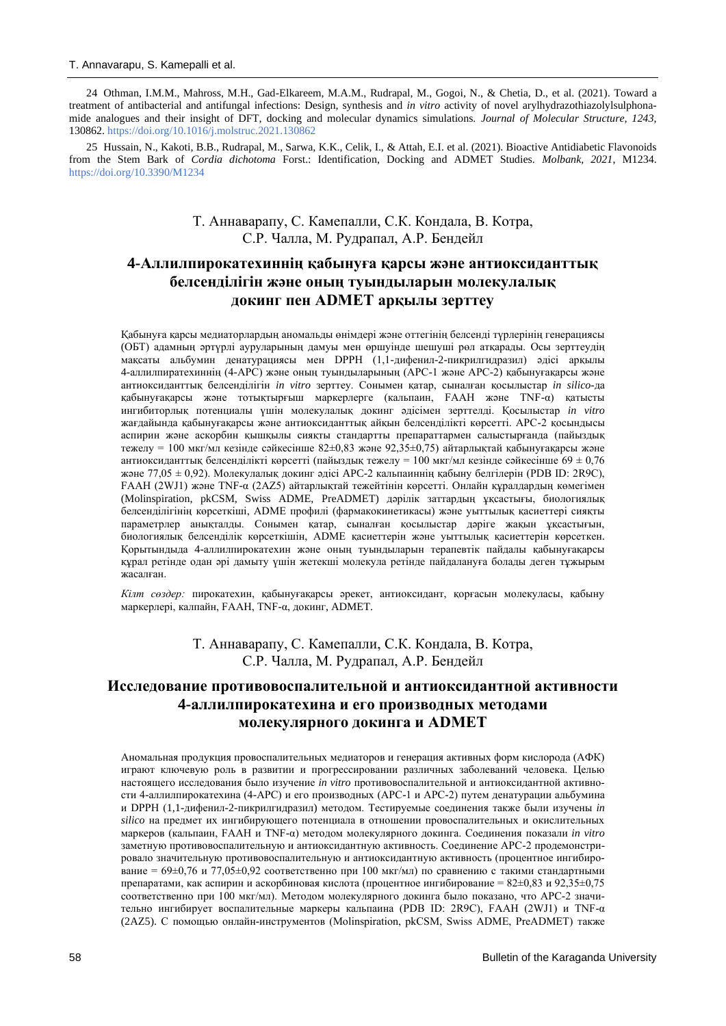24 Othman, I.M.M., Mahross, M.H., Gad-Elkareem, M.A.M., Rudrapal, M., Gogoi, N., & Chetia, D., et al. (2021). Toward a treatment of antibacterial and antifungal infections: Design, synthesis and *in vitro* activity of novel arylhydrazothiazolylsulphonamide analogues and their insight of DFT, docking and molecular dynamics simulations. *Journal of Molecular Structure, 1243*, 130862. <https://doi.org/10.1016/j.molstruc.2021.130862>

25 Hussain, N., Kakoti, B.B., Rudrapal, M., Sarwa, K.K., Celik, I., & Attah, E.I. et al. (2021). Bioactive Antidiabetic Flavonoids from the Stem Bark of *Cordia dichotoma* Forst.: Identification, Docking and ADMET Studies. *Molbank, 2021*, M1234. <https://doi.org/10.3390/M1234>

## Т. Аннаварапу, С. Камепалли, С.К. Кондала, В. Котра, С.Р. Чалла, М. Рудрапал, А.Р. Бендейл

## **4-Аллилпирокатехиннің қабынуға қарсы және антиоксиданттық белсенділігін және оның туындыларын молекулалық докинг пен ADMET арқылы зерттеу**

Қабынуға қарсы медиаторлардың аномальды өнімдері және оттегінің белсенді түрлерінің генерациясы (ОБТ) адамның әртүрлі ауруларының дамуы мен өршуінде шешуші рөл атқарады. Осы зерттеудің мақсаты альбумин денатурациясы мен DPPH (1,1-дифенил-2-пикрилгидразил) әдісі арқылы 4-аллилпиратехиннің (4-АРС) және оның туындыларының (АРС-1 және АРС-2) қабынуғақарсы және антиоксиданттық белсенділігін *in vitro* зерттеу. Сонымен қатар, сыналған қосылыстар *in silico*-да қабынуғақарсы және тотықтырғыш маркерлерге (кальпаин, FAAH және TNF-α) қатысты ингибиторлық потенциалы үшін молекулалық докинг әдісімен зерттелді. Қосылыстар *in vitro* жағдайында қабынуғақарсы және антиоксиданттық айқын белсенділікті көрсетті. APC-2 қосындысы аспирин және аскорбин қышқылы сияқты стандартты препараттармен салыстырғанда (пайыздық тежелу = 100 мкг/мл кезінде сәйкесінше 82±0,83 және 92,35±0,75) айтарлықтай қабынуғақарсы және антиоксиданттық белсенділікті көрсетті (пайыздық тежелу = 100 мкг/мл кезінде сәйкесінше 69 ± 0,76 және 77,05 ± 0,92). Молекулалық докинг әдісі APC-2 кальпаиннің қабыну белгілерін (PDB ID: 2R9C), FAAH (2WJ1) және TNF-α (2AZ5) айтарлықтай тежейтінін көрсетті. Онлайн құралдардың көмегімен (Molinspiration, pkCSM, Swiss ADME, PreADMET) дәрілік заттардың ұқсастығы, биологиялық белсенділігінің көрсеткіші, ADME профилі (фармакокинетикасы) және уыттылық қасиеттері сияқты параметрлер анықталды. Сонымен қатар, сыналған қосылыстар дәріге жақын ұқсастығын, биологиялық белсенділік көрсеткішін, ADME қасиеттерін және уыттылық қасиеттерін көрсеткен. Қорытындыда 4-аллилпирокатехин және оның туындыларын терапевтік пайдалы қабынуғақарсы құрал ретінде одан әрі дамыту үшін жетекші молекула ретінде пайдалануға болады деген тұжырым жасалған.

*Кілт сөздер:* пирокатехин, қабынуғақарсы әрекет, антиоксидант, қорғасын молекуласы, қабыну маркерлері, калпайн, FAAH, TNF-α, докинг, ADMET.

## Т. Аннаварапу, С. Камепалли, С.К. Кондала, В. Котра, С.Р. Чалла, М. Рудрапал, А.Р. Бендейл

## **Исследование противовоспалительной и антиоксидантной активности 4-аллилпирокатехина и его производных методами молекулярного докинга и ADMET**

Аномальная продукция провоспалительных медиаторов и генерация активных форм кислорода (АФК) играют ключевую роль в развитии и прогрессировании различных заболеваний человека. Целью настоящего исследования было изучение *in vitro* противовоспалительной и антиоксидантной активности 4-аллилпирокатехина (4-АРС) и его производных (АРС-1 и АРС-2) путем денатурации альбумина и DPPH (1,1-дифенил-2-пикрилгидразил) методом. Тестируемые соединения также были изучены *in silico* на предмет их ингибирующего потенциала в отношении провоспалительных и окислительных маркеров (кальпаин, FAAH и TNF-α) методом молекулярного докинга. Соединения показали *in vitro* заметную противовоспалительную и антиоксидантную активность. Соединение АРС-2 продемонстрировало значительную противовоспалительную и антиоксидантную активность (процентное ингибирование =  $69\pm0,76$  и  $77,05\pm0,92$  соответственно при 100 мкг/мл) по сравнению с такими стандартными препаратами, как аспирин и аскорбиновая кислота (процентное ингибирование = 82±0,83 и 92,35±0,75 соответственно при 100 мкг/мл). Методом молекулярного докинга было показано, что APC-2 значительно ингибирует воспалительные маркеры кальпаина (PDB ID: 2R9C), FAAH (2WJ1) и TNF-α (2AZ5). С помощью онлайн-инструментов (Molinspiration, pkCSM, Swiss ADME, PreADMET) также